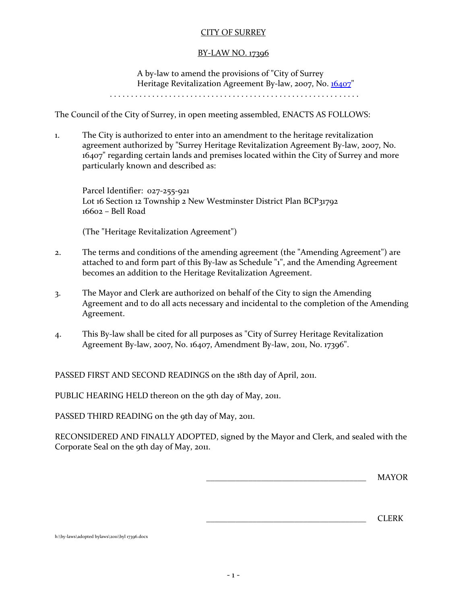# CITY OF SURREY

# BY-LAW NO. 17396

A by-law to amend the provisions of "City of Surrey Heritage Revitalization Agreement By-law, 2007, No. [16407"](http://www.surrey.ca/bylawsandcouncillibrary/16407-ACCC.PDF)

. . . . . . . . . . . . . . . . . . . . . . . . . . . . . . . . . . . . . . . . . . . . . . . . . . . . . . . . . . .

The Council of the City of Surrey, in open meeting assembled, ENACTS AS FOLLOWS:

1. The City is authorized to enter into an amendment to the heritage revitalization agreement authorized by "Surrey Heritage Revitalization Agreement By-law, 2007, No. 16407" regarding certain lands and premises located within the City of Surrey and more particularly known and described as:

Parcel Identifier: 027-255-921 Lot 16 Section 12 Township 2 New Westminster District Plan BCP31792 16602 – Bell Road

(The "Heritage Revitalization Agreement")

- 2. The terms and conditions of the amending agreement (the "Amending Agreement") are attached to and form part of this By-law as Schedule "1", and the Amending Agreement becomes an addition to the Heritage Revitalization Agreement.
- 3. The Mayor and Clerk are authorized on behalf of the City to sign the Amending Agreement and to do all acts necessary and incidental to the completion of the Amending Agreement.
- 4. This By-law shall be cited for all purposes as "City of Surrey Heritage Revitalization Agreement By-law, 2007, No. 16407, Amendment By-law, 2011, No. 17396".

PASSED FIRST AND SECOND READINGS on the 18th day of April, 2011.

PUBLIC HEARING HELD thereon on the 9th day of May, 2011.

PASSED THIRD READING on the 9th day of May, 2011.

RECONSIDERED AND FINALLY ADOPTED, signed by the Mayor and Clerk, and sealed with the Corporate Seal on the 9th day of May, 2011.

 $MAYOR$ 

\_\_\_\_\_\_\_\_\_\_\_\_\_\_\_\_\_\_\_\_\_\_\_\_\_\_\_\_\_\_\_\_\_\_\_\_\_\_ CLERK

h:\by-laws\adopted bylaws\2011\byl 17396.docx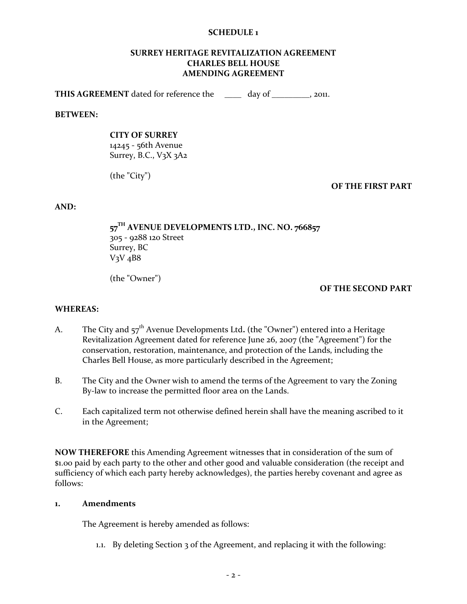### **SCHEDULE 1**

#### **SURREY HERITAGE REVITALIZATION AGREEMENT CHARLES BELL HOUSE AMENDING AGREEMENT**

**THIS AGREEMENT** dated for reference the day of the day of the setting  $\frac{1}{2}$ .

#### **BETWEEN:**

### **CITY OF SURREY**

14245 - 56th Avenue Surrey, B.C.,  $V_3X_3A_2$ 

(the "City")

**OF THE FIRST PART**

**AND:**

**57 TH AVENUE DEVELOPMENTS LTD., INC. NO. 766857** 305 - 9288 120 Street Surrey, BC  $V_3V_4B8$ 

(the "Owner")

### **OF THE SECOND PART**

#### **WHEREAS:**

- A. The City and 57<sup>th</sup> Avenue Developments Ltd. (the "Owner") entered into a Heritage Revitalization Agreement dated for reference June 26, 2007 (the "Agreement") for the conservation, restoration, maintenance, and protection of the Lands, including the Charles Bell House, as more particularly described in the Agreement;
- B. The City and the Owner wish to amend the terms of the Agreement to vary the Zoning By-law to increase the permitted floor area on the Lands.
- C. Each capitalized term not otherwise defined herein shall have the meaning ascribed to it in the Agreement;

**NOW THEREFORE** this Amending Agreement witnesses that in consideration of the sum of \$1.00 paid by each party to the other and other good and valuable consideration (the receipt and sufficiency of which each party hereby acknowledges), the parties hereby covenant and agree as follows:

### **1. Amendments**

The Agreement is hereby amended as follows:

1.1. By deleting Section 3 of the Agreement, and replacing it with the following: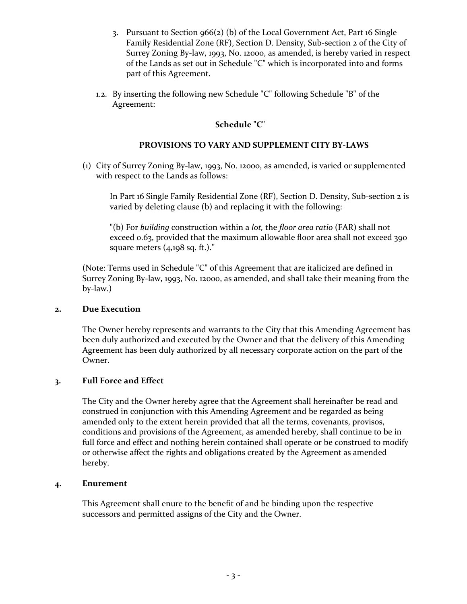- 3. Pursuant to Section  $966(2)$  (b) of the Local Government Act, Part 16 Single Family Residential Zone (RF), Section D. Density, Sub-section 2 of the City of Surrey Zoning By-law, 1993, No. 12000, as amended, is hereby varied in respect of the Lands as set out in Schedule "C" which is incorporated into and forms part of this Agreement.
- 1.2. By inserting the following new Schedule "C" following Schedule "B" of the Agreement:

# **Schedule "C"**

# **PROVISIONS TO VARY AND SUPPLEMENT CITY BY-LAWS**

(1) City of Surrey Zoning By-law, 1993, No. 12000, as amended, is varied or supplemented with respect to the Lands as follows:

In Part 16 Single Family Residential Zone (RF), Section D. Density, Sub-section 2 is varied by deleting clause (b) and replacing it with the following:

"(b) For *building* construction within a *lot,* the *floor area ratio* (FAR) shall not exceed 0.63, provided that the maximum allowable floor area shall not exceed 390 square meters (4,198 sq. ft.)."

(Note: Terms used in Schedule "C" of this Agreement that are italicized are defined in Surrey Zoning By-law, 1993, No. 12000, as amended, and shall take their meaning from the by-law.)

# **2. Due Execution**

The Owner hereby represents and warrants to the City that this Amending Agreement has been duly authorized and executed by the Owner and that the delivery of this Amending Agreement has been duly authorized by all necessary corporate action on the part of the Owner.

# **3. Full Force and Effect**

The City and the Owner hereby agree that the Agreement shall hereinafter be read and construed in conjunction with this Amending Agreement and be regarded as being amended only to the extent herein provided that all the terms, covenants, provisos, conditions and provisions of the Agreement, as amended hereby, shall continue to be in full force and effect and nothing herein contained shall operate or be construed to modify or otherwise affect the rights and obligations created by the Agreement as amended hereby.

# **4. Enurement**

This Agreement shall enure to the benefit of and be binding upon the respective successors and permitted assigns of the City and the Owner.